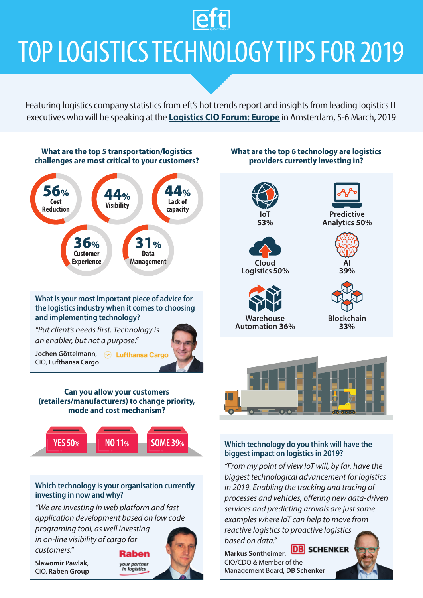### **Teft**

# TOP LOGISTICS TECHNOLOGY TIPS FOR 2019

[Featuring logistics company statistics from eft's hot trends report and insights from leading logistics IT](https://events.eft.com/cioeu/)  executives who will be speaking at the **Logistics CIO Forum: Europe** in Amsterdam, 5-6 March, 2019



#### **Which technology is your organisation currently investing in now and why?**

*"We are investing in web platform and fast application development based on low code* 

*programing tool, as well investing in on-line visibility of cargo for customers."*

**Slawomir Pawlak**, CIO, **Raben Group**

### Raben your partner<br>in logistics





#### **Which technology do you think will have the biggest impact on logistics in 2019?**

*"From my point of view IoT will, by far, have the biggest technological advancement for logistics in 2019. Enabling the tracking and tracing of processes and vehicles, offering new data-driven services and predicting arrivals are just some examples where IoT can help to move from reactive logistics to proactive logistics based on data."*

**DB** SCHENKER **Markus Sontheimer**, CIO/CDO & Member of the Management Board, **DB Schenker**